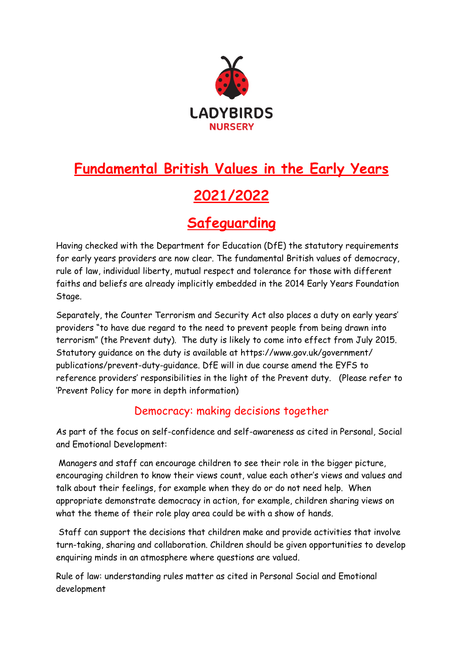

# **Fundamental British Values in the Early Years 2021/2022**

## **Safeguarding**

Having checked with the Department for Education (DfE) the statutory requirements for early years providers are now clear. The fundamental British values of democracy, rule of law, individual liberty, mutual respect and tolerance for those with different faiths and beliefs are already implicitly embedded in the 2014 Early Years Foundation Stage.

Separately, the Counter Terrorism and Security Act also places a duty on early years' providers "to have due regard to the need to prevent people from being drawn into terrorism" (the Prevent duty). The duty is likely to come into effect from July 2015. Statutory guidance on the duty is available at https://www.gov.uk/government/ publications/prevent-duty-guidance. DfE will in due course amend the EYFS to reference providers' responsibilities in the light of the Prevent duty. (Please refer to 'Prevent Policy for more in depth information)

#### Democracy: making decisions together

As part of the focus on self-confidence and self-awareness as cited in Personal, Social and Emotional Development:

 Managers and staff can encourage children to see their role in the bigger picture, encouraging children to know their views count, value each other's views and values and talk about their feelings, for example when they do or do not need help. When appropriate demonstrate democracy in action, for example, children sharing views on what the theme of their role play area could be with a show of hands.

 Staff can support the decisions that children make and provide activities that involve turn-taking, sharing and collaboration. Children should be given opportunities to develop enquiring minds in an atmosphere where questions are valued.

Rule of law: understanding rules matter as cited in Personal Social and Emotional development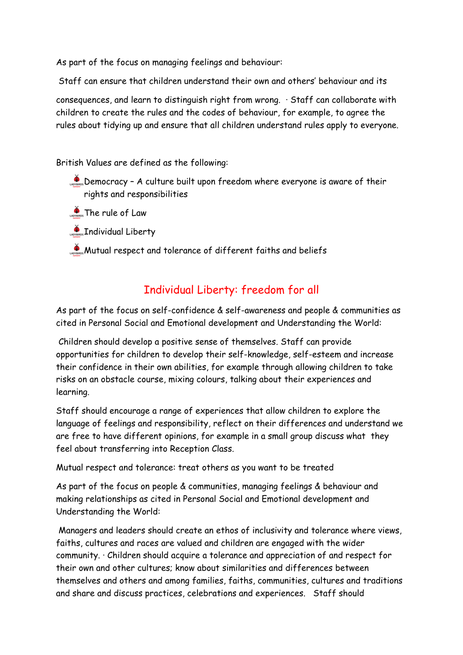As part of the focus on managing feelings and behaviour:

Staff can ensure that children understand their own and others' behaviour and its

consequences, and learn to distinguish right from wrong. · Staff can collaborate with children to create the rules and the codes of behaviour, for example, to agree the rules about tidying up and ensure that all children understand rules apply to everyone.

British Values are defined as the following:

- $\mathcal{L}_{\text{cross}}$  Democracy A culture built upon freedom where everyone is aware of their rights and responsibilities
- **CADYBIRDS** The rule of Law
- **CASPERGS** Individual Liberty
- **Mutual respect and tolerance of different faiths and beliefs**

### Individual Liberty: freedom for all

As part of the focus on self-confidence & self-awareness and people & communities as cited in Personal Social and Emotional development and Understanding the World:

 Children should develop a positive sense of themselves. Staff can provide opportunities for children to develop their self-knowledge, self-esteem and increase their confidence in their own abilities, for example through allowing children to take risks on an obstacle course, mixing colours, talking about their experiences and learning.

Staff should encourage a range of experiences that allow children to explore the language of feelings and responsibility, reflect on their differences and understand we are free to have different opinions, for example in a small group discuss what they feel about transferring into Reception Class.

Mutual respect and tolerance: treat others as you want to be treated

As part of the focus on people & communities, managing feelings & behaviour and making relationships as cited in Personal Social and Emotional development and Understanding the World:

 Managers and leaders should create an ethos of inclusivity and tolerance where views, faiths, cultures and races are valued and children are engaged with the wider community. · Children should acquire a tolerance and appreciation of and respect for their own and other cultures; know about similarities and differences between themselves and others and among families, faiths, communities, cultures and traditions and share and discuss practices, celebrations and experiences. Staff should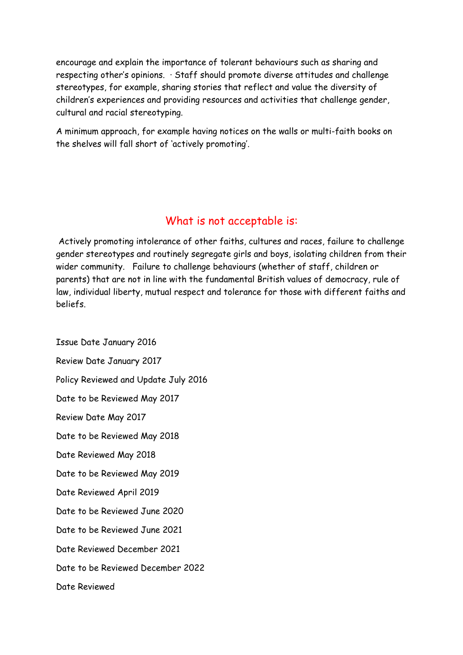encourage and explain the importance of tolerant behaviours such as sharing and respecting other's opinions. · Staff should promote diverse attitudes and challenge stereotypes, for example, sharing stories that reflect and value the diversity of children's experiences and providing resources and activities that challenge gender, cultural and racial stereotyping.

A minimum approach, for example having notices on the walls or multi-faith books on the shelves will fall short of 'actively promoting'.

#### What is not acceptable is:

 Actively promoting intolerance of other faiths, cultures and races, failure to challenge gender stereotypes and routinely segregate girls and boys, isolating children from their wider community. Failure to challenge behaviours (whether of staff, children or parents) that are not in line with the fundamental British values of democracy, rule of law, individual liberty, mutual respect and tolerance for those with different faiths and beliefs.

Issue Date January 2016 Review Date January 2017 Policy Reviewed and Update July 2016 Date to be Reviewed May 2017 Review Date May 2017 Date to be Reviewed May 2018 Date Reviewed May 2018 Date to be Reviewed May 2019 Date Reviewed April 2019 Date to be Reviewed June 2020 Date to be Reviewed June 2021 Date Reviewed December 2021 Date to be Reviewed December 2022 Date Reviewed